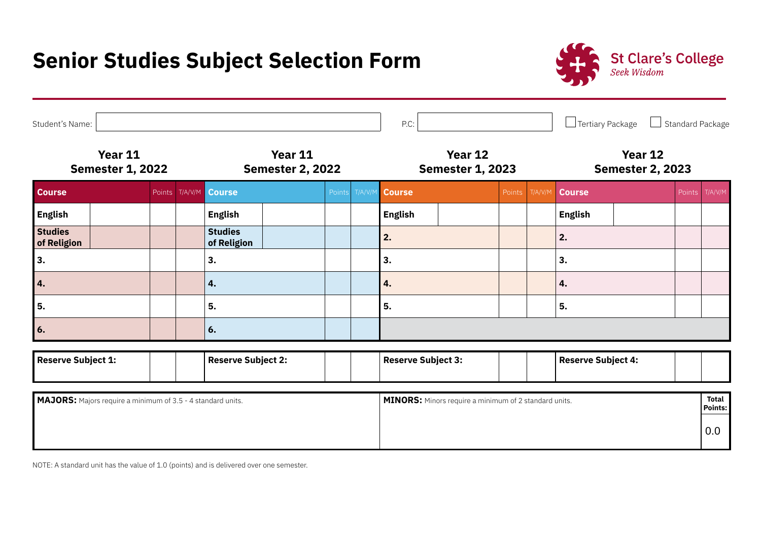# **Senior Studies Subject Selection Form**



| Student's Name:                    |                                                                    |  |                           |                                    |        |                           | P.C:                                                         |        |                           | $\Box$ Tertiary Package            | Standard Package               |
|------------------------------------|--------------------------------------------------------------------|--|---------------------------|------------------------------------|--------|---------------------------|--------------------------------------------------------------|--------|---------------------------|------------------------------------|--------------------------------|
| Year 11<br><b>Semester 1, 2022</b> |                                                                    |  |                           | Year 11<br><b>Semester 2, 2022</b> |        |                           | Year 12<br><b>Semester 1, 2023</b>                           |        |                           | Year 12<br><b>Semester 2, 2023</b> |                                |
| <b>Course</b>                      |                                                                    |  | Points T/A/V/M            | <b>Course</b>                      | Points | T/A/V/N                   | <b>Course</b>                                                | Points | T/A/V/M                   | <b>Course</b>                      | T/A/V/M<br>Points              |
| <b>English</b>                     |                                                                    |  |                           | <b>English</b>                     |        |                           | <b>English</b>                                               |        |                           | <b>English</b>                     |                                |
| <b>Studies</b><br>of Religion      |                                                                    |  |                           | <b>Studies</b><br>of Religion      |        |                           | 2.                                                           |        |                           | 2.                                 |                                |
| 3.                                 |                                                                    |  |                           | 3.                                 |        |                           | 3.                                                           |        |                           | 3.                                 |                                |
| 4.                                 |                                                                    |  |                           | 4.                                 |        |                           | 4.                                                           |        |                           | 4.                                 |                                |
| 5.                                 |                                                                    |  |                           | 5.                                 |        |                           | 5.                                                           |        |                           | 5.                                 |                                |
| 6.                                 |                                                                    |  |                           | 6.                                 |        |                           |                                                              |        |                           |                                    |                                |
| <b>Reserve Subject 1:</b>          |                                                                    |  | <b>Reserve Subject 2:</b> |                                    |        | <b>Reserve Subject 3:</b> |                                                              |        | <b>Reserve Subject 4:</b> |                                    |                                |
|                                    | <b>MAJORS:</b> Majors require a minimum of 3.5 - 4 standard units. |  |                           |                                    |        |                           | <b>MINORS:</b> Minors require a minimum of 2 standard units. |        |                           |                                    | <b>Total</b><br><b>Points:</b> |
|                                    |                                                                    |  |                           |                                    |        |                           |                                                              |        |                           |                                    |                                |

NOTE: A standard unit has the value of 1.0 (points) and is delivered over one semester.